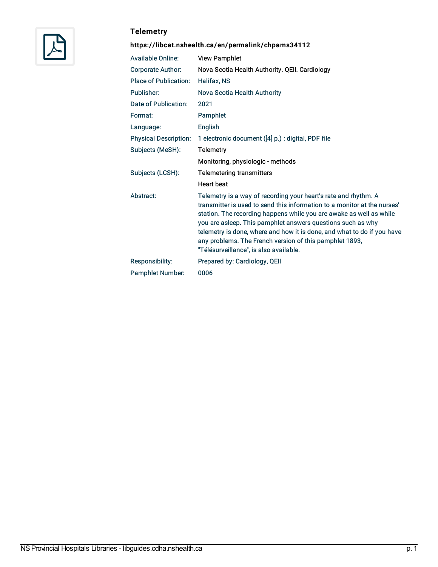

## **Telemetry**

## <https://libcat.nshealth.ca/en/permalink/chpams34112>

| <b>Available Online:</b>     | <b>View Pamphlet</b>                                                                                                                                                                                                                                                                                                                                                                                                                                              |
|------------------------------|-------------------------------------------------------------------------------------------------------------------------------------------------------------------------------------------------------------------------------------------------------------------------------------------------------------------------------------------------------------------------------------------------------------------------------------------------------------------|
| <b>Corporate Author:</b>     | Nova Scotia Health Authority. QEII. Cardiology                                                                                                                                                                                                                                                                                                                                                                                                                    |
| <b>Place of Publication:</b> | Halifax, NS                                                                                                                                                                                                                                                                                                                                                                                                                                                       |
| Publisher:                   | Nova Scotia Health Authority                                                                                                                                                                                                                                                                                                                                                                                                                                      |
| Date of Publication:         | 2021                                                                                                                                                                                                                                                                                                                                                                                                                                                              |
| Format:                      | Pamphlet                                                                                                                                                                                                                                                                                                                                                                                                                                                          |
| Language:                    | English                                                                                                                                                                                                                                                                                                                                                                                                                                                           |
| <b>Physical Description:</b> | 1 electronic document ([4] p.) : digital, PDF file                                                                                                                                                                                                                                                                                                                                                                                                                |
| Subjects (MeSH):             | <b>Telemetry</b>                                                                                                                                                                                                                                                                                                                                                                                                                                                  |
|                              | Monitoring, physiologic - methods                                                                                                                                                                                                                                                                                                                                                                                                                                 |
| Subjects (LCSH):             | <b>Telemetering transmitters</b>                                                                                                                                                                                                                                                                                                                                                                                                                                  |
|                              | <b>Heart beat</b>                                                                                                                                                                                                                                                                                                                                                                                                                                                 |
| Abstract:                    | Telemetry is a way of recording your heart's rate and rhythm. A<br>transmitter is used to send this information to a monitor at the nurses'<br>station. The recording happens while you are awake as well as while<br>you are asleep. This pamphlet answers questions such as why<br>telemetry is done, where and how it is done, and what to do if you have<br>any problems. The French version of this pamphlet 1893,<br>"Télésurveillance", is also available. |
| Responsibility:              | Prepared by: Cardiology, QEII                                                                                                                                                                                                                                                                                                                                                                                                                                     |
| <b>Pamphlet Number:</b>      | 0006                                                                                                                                                                                                                                                                                                                                                                                                                                                              |